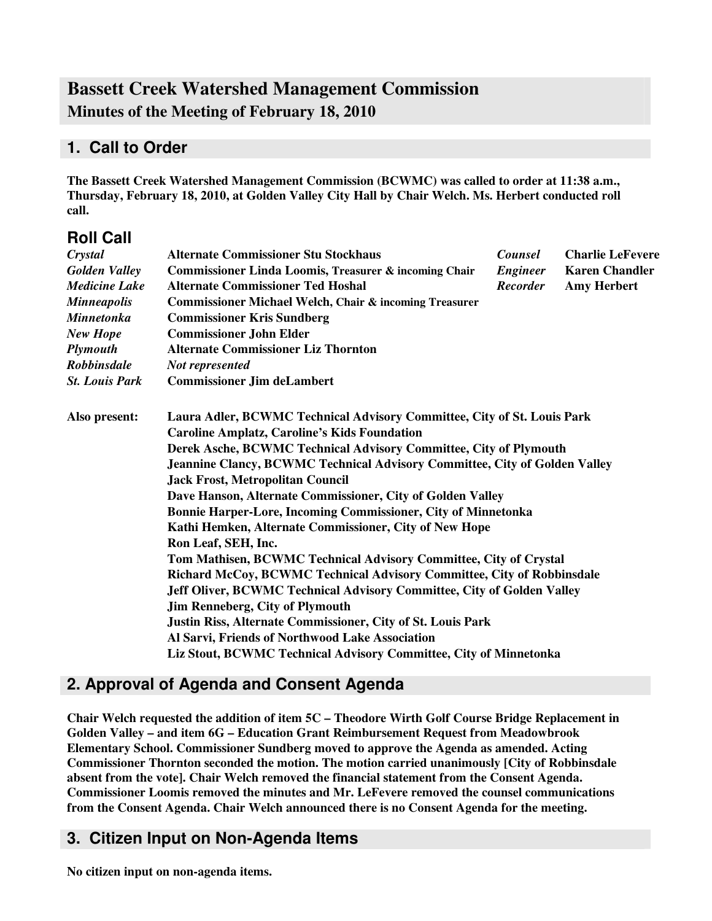# **Bassett Creek Watershed Management Commission Minutes of the Meeting of February 18, 2010**

## **1. Call to Order**

**The Bassett Creek Watershed Management Commission (BCWMC) was called to order at 11:38 a.m., Thursday, February 18, 2010, at Golden Valley City Hall by Chair Welch. Ms. Herbert conducted roll call.**

## **Roll Call**

| Crystal               | <b>Alternate Commissioner Stu Stockhaus</b>                                                                                                                                                                                                                                                                            | <b>Counsel</b>  | <b>Charlie LeFevere</b> |  |  |                                                                      |                                                                                                                                             |  |  |  |
|-----------------------|------------------------------------------------------------------------------------------------------------------------------------------------------------------------------------------------------------------------------------------------------------------------------------------------------------------------|-----------------|-------------------------|--|--|----------------------------------------------------------------------|---------------------------------------------------------------------------------------------------------------------------------------------|--|--|--|
| <b>Golden Valley</b>  | Commissioner Linda Loomis, Treasurer & incoming Chair                                                                                                                                                                                                                                                                  | <b>Engineer</b> | <b>Karen Chandler</b>   |  |  |                                                                      |                                                                                                                                             |  |  |  |
| <b>Medicine Lake</b>  | <b>Alternate Commissioner Ted Hoshal</b>                                                                                                                                                                                                                                                                               | <b>Recorder</b> | <b>Amy Herbert</b>      |  |  |                                                                      |                                                                                                                                             |  |  |  |
| <b>Minneapolis</b>    | <b>Commissioner Michael Welch, Chair &amp; incoming Treasurer</b>                                                                                                                                                                                                                                                      |                 |                         |  |  |                                                                      |                                                                                                                                             |  |  |  |
| <b>Minnetonka</b>     | <b>Commissioner Kris Sundberg</b>                                                                                                                                                                                                                                                                                      |                 |                         |  |  |                                                                      |                                                                                                                                             |  |  |  |
| <b>New Hope</b>       | <b>Commissioner John Elder</b>                                                                                                                                                                                                                                                                                         |                 |                         |  |  |                                                                      |                                                                                                                                             |  |  |  |
| <b>Plymouth</b>       | <b>Alternate Commissioner Liz Thornton</b><br>Not represented                                                                                                                                                                                                                                                          |                 |                         |  |  |                                                                      |                                                                                                                                             |  |  |  |
| Robbinsdale           |                                                                                                                                                                                                                                                                                                                        |                 |                         |  |  |                                                                      |                                                                                                                                             |  |  |  |
| <b>St. Louis Park</b> | <b>Commissioner Jim deLambert</b>                                                                                                                                                                                                                                                                                      |                 |                         |  |  |                                                                      |                                                                                                                                             |  |  |  |
| Also present:         | Laura Adler, BCWMC Technical Advisory Committee, City of St. Louis Park                                                                                                                                                                                                                                                |                 |                         |  |  |                                                                      |                                                                                                                                             |  |  |  |
|                       | <b>Caroline Amplatz, Caroline's Kids Foundation</b><br>Derek Asche, BCWMC Technical Advisory Committee, City of Plymouth<br><b>Jeannine Clancy, BCWMC Technical Advisory Committee, City of Golden Valley</b><br><b>Jack Frost, Metropolitan Council</b><br>Dave Hanson, Alternate Commissioner, City of Golden Valley |                 |                         |  |  |                                                                      |                                                                                                                                             |  |  |  |
|                       |                                                                                                                                                                                                                                                                                                                        |                 |                         |  |  | <b>Bonnie Harper-Lore, Incoming Commissioner, City of Minnetonka</b> |                                                                                                                                             |  |  |  |
|                       |                                                                                                                                                                                                                                                                                                                        |                 |                         |  |  |                                                                      | Kathi Hemken, Alternate Commissioner, City of New Hope                                                                                      |  |  |  |
|                       |                                                                                                                                                                                                                                                                                                                        |                 |                         |  |  |                                                                      | Ron Leaf, SEH, Inc.                                                                                                                         |  |  |  |
|                       |                                                                                                                                                                                                                                                                                                                        |                 |                         |  |  |                                                                      | Tom Mathisen, BCWMC Technical Advisory Committee, City of Crystal<br>Richard McCoy, BCWMC Technical Advisory Committee, City of Robbinsdale |  |  |  |
|                       |                                                                                                                                                                                                                                                                                                                        |                 |                         |  |  |                                                                      |                                                                                                                                             |  |  |  |
|                       | Jeff Oliver, BCWMC Technical Advisory Committee, City of Golden Valley                                                                                                                                                                                                                                                 |                 |                         |  |  |                                                                      |                                                                                                                                             |  |  |  |
|                       | <b>Jim Renneberg, City of Plymouth</b>                                                                                                                                                                                                                                                                                 |                 |                         |  |  |                                                                      |                                                                                                                                             |  |  |  |
|                       | Justin Riss, Alternate Commissioner, City of St. Louis Park                                                                                                                                                                                                                                                            |                 |                         |  |  |                                                                      |                                                                                                                                             |  |  |  |
|                       | Al Sarvi, Friends of Northwood Lake Association                                                                                                                                                                                                                                                                        |                 |                         |  |  |                                                                      |                                                                                                                                             |  |  |  |
|                       | Liz Stout, BCWMC Technical Advisory Committee, City of Minnetonka                                                                                                                                                                                                                                                      |                 |                         |  |  |                                                                      |                                                                                                                                             |  |  |  |

## **2. Approval of Agenda and Consent Agenda**

**Chair Welch requested the addition of item 5C – Theodore Wirth Golf Course Bridge Replacement in Golden Valley – and item 6G – Education Grant Reimbursement Request from Meadowbrook Elementary School. Commissioner Sundberg moved to approve the Agenda as amended. Acting Commissioner Thornton seconded the motion. The motion carried unanimously [City of Robbinsdale absent from the vote]. Chair Welch removed the financial statement from the Consent Agenda. Commissioner Loomis removed the minutes and Mr. LeFevere removed the counsel communications from the Consent Agenda. Chair Welch announced there is no Consent Agenda for the meeting.**

## **3. Citizen Input on Non-Agenda Items**

**No citizen input on non-agenda items.**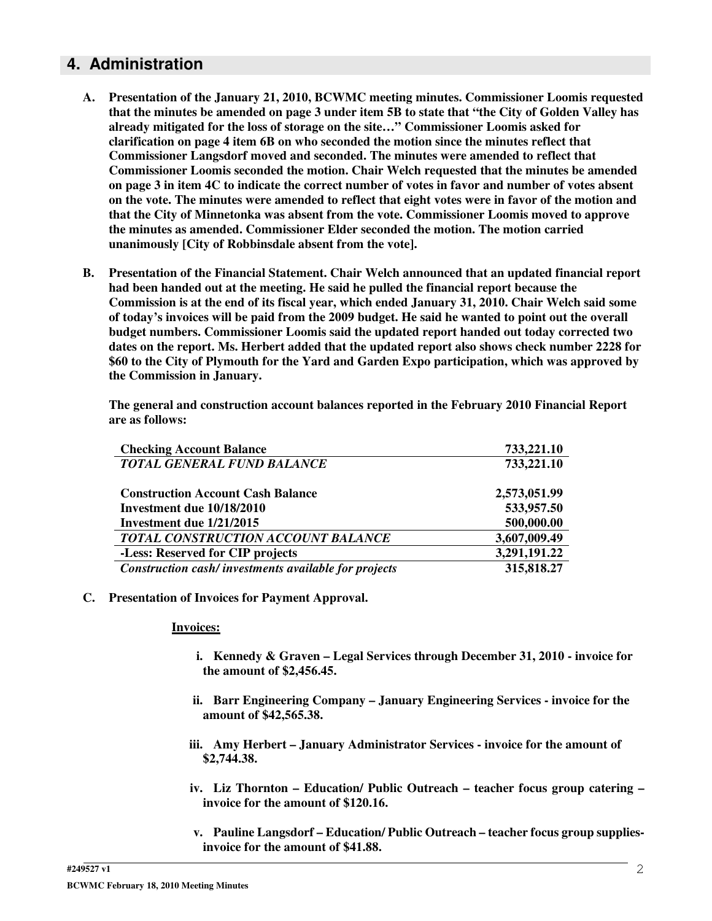### **4. Administration**

- **A. Presentation of the January 21, 2010, BCWMC meeting minutes. Commissioner Loomis requested** that the minutes be amended on page 3 under item 5B to state that "the City of Golden Valley has **already mitigated for the loss of storage on the site…" Commissioner Loomis asked for clarification on page 4 item 6B on who seconded the motion since the minutes reflect that Commissioner Langsdorf moved and seconded. The minutes were amended to reflect that Commissioner Loomis seconded the motion. Chair Welch requested that the minutes be amended** on page 3 in item 4C to indicate the correct number of votes in favor and number of votes absent on the vote. The minutes were amended to reflect that eight votes were in favor of the motion and **that the City of Minnetonka was absent from the vote. Commissioner Loomis moved to approve the minutes as amended. Commissioner Elder seconded the motion. The motion carried unanimously [City of Robbinsdale absent from the vote].**
- **B. Presentation of the Financial Statement. Chair Welch announced that an updated financial report had been handed out at the meeting. He said he pulled the financial report because the Commission is at the end of its fiscal year, which ended January 31, 2010. Chair Welch said some** of today's invoices will be paid from the 2009 budget. He said he wanted to point out the overall **budget numbers. Commissioner Loomis said the updated report handed out today corrected two dates on the report. Ms. Herbert added that the updated report also shows check number 2228 for \$60 to the City of Plymouth for the Yard and Garden Expo participation, which was approved by the Commission in January.**

**The general and construction account balances reported in the February 2010 Financial Report are as follows:**

| <b>Checking Account Balance</b>                      | 733,221.10   |
|------------------------------------------------------|--------------|
| <b>TOTAL GENERAL FUND BALANCE</b>                    | 733,221.10   |
| <b>Construction Account Cash Balance</b>             | 2,573,051.99 |
| Investment due 10/18/2010                            | 533,957.50   |
| Investment due 1/21/2015                             | 500,000.00   |
| TOTAL CONSTRUCTION ACCOUNT BALANCE                   | 3,607,009.49 |
| -Less: Reserved for CIP projects                     | 3,291,191.22 |
| Construction cash/investments available for projects | 315,818.27   |

#### **C. Presentation of Invoices for Payment Approval.**

#### **Invoices:**

- **i. Kennedy & Graven – Legal Services through December 31, 2010 - invoice for the amount of \$2,456.45.**
- **ii. Barr Engineering Company – January Engineering Services - invoice for the amount of \$42,565.38.**
- **iii. Amy Herbert – January Administrator Services - invoice for the amount of \$2,744.38.**
- **iv. Liz Thornton – Education/ Public Outreach – teacher focus group catering – invoice for the amount of \$120.16.**
- **v. Pauline Langsdorf – Education/ Public Outreach – teacher focus group suppliesinvoice for the amount of \$41.88.**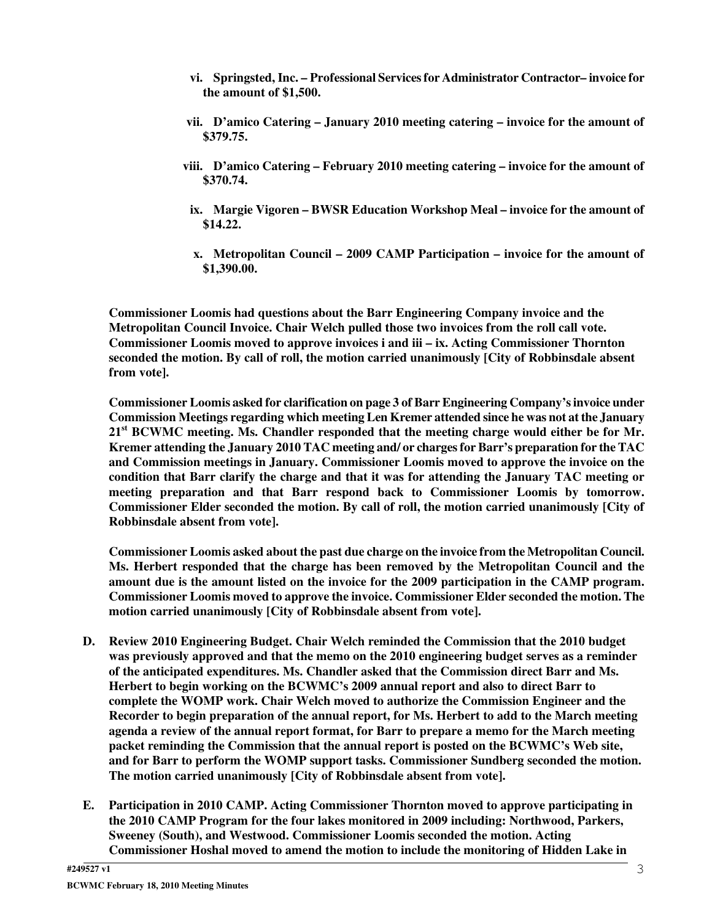- **vi. Springsted, Inc. – Professional Servicesfor Administrator Contractor– invoice for the amount of \$1,500.**
- **vii. D'amico Catering – January 2010 meeting catering – invoice for the amount of \$379.75.**
- **viii. D'amico Catering – February 2010 meeting catering – invoice for the amount of \$370.74.**
- **ix. Margie Vigoren – BWSR Education Workshop Meal – invoice for the amount of \$14.22.**
- **x. Metropolitan Council – 2009 CAMP Participation – invoice for the amount of \$1,390.00.**

**Commissioner Loomis had questions about the Barr Engineering Company invoice and the Metropolitan Council Invoice. Chair Welch pulled those two invoices from the roll call vote. Commissioner Loomis moved to approve invoices i and iii – ix. Acting Commissioner Thornton seconded the motion. By call of roll, the motion carried unanimously [City of Robbinsdale absent from vote].**

**Commissioner Loomis asked for clarification on page 3 of Barr Engineering Company'sinvoice under Commission Meetings regarding which meeting Len Kremer attended since he was not at the January 21 st BCWMC meeting. Ms. Chandler responded that the meeting charge would either be for Mr. Kremer attending the January 2010 TAC meeting and/ or chargesfor Barr's preparation for the TAC and Commission meetings in January. Commissioner Loomis moved to approve the invoice on the condition that Barr clarify the charge and that it was for attending the January TAC meeting or meeting preparation and that Barr respond back to Commissioner Loomis by tomorrow. Commissioner Elder seconded the motion. By call of roll, the motion carried unanimously [City of Robbinsdale absent from vote].**

**Commissioner Loomis asked about the past due charge on the invoice from the Metropolitan Council. Ms. Herbert responded that the charge has been removed by the Metropolitan Council and the amount due is the amount listed on the invoice for the 2009 participation in the CAMP program. Commissioner Loomis moved to approve the invoice. Commissioner Elder seconded the motion. The motion carried unanimously [City of Robbinsdale absent from vote].**

- **D. Review 2010 Engineering Budget. Chair Welch reminded the Commission that the 2010 budget was previously approved and that the memo on the 2010 engineering budget serves as a reminder of the anticipated expenditures. Ms. Chandler asked that the Commission direct Barr and Ms. Herbert to begin working on the BCWMC's 2009 annual report and also to direct Barr to complete the WOMP work. Chair Welch moved to authorize the Commission Engineer and the Recorder to begin preparation of the annual report, for Ms. Herbert to add to the March meeting agenda a review of the annual report format, for Barr to prepare a memo for the March meeting packet reminding the Commission that the annual report is posted on the BCWMC's Web site, and for Barr to perform the WOMP support tasks. Commissioner Sundberg seconded the motion. The motion carried unanimously [City of Robbinsdale absent from vote].**
- **E. Participation in 2010 CAMP. Acting Commissioner Thornton moved to approve participating in the 2010 CAMP Program for the four lakes monitored in 2009 including: Northwood, Parkers, Sweeney (South), and Westwood. Commissioner Loomis seconded the motion. Acting Commissioner Hoshal moved to amend the motion to include the monitoring of Hidden Lake in**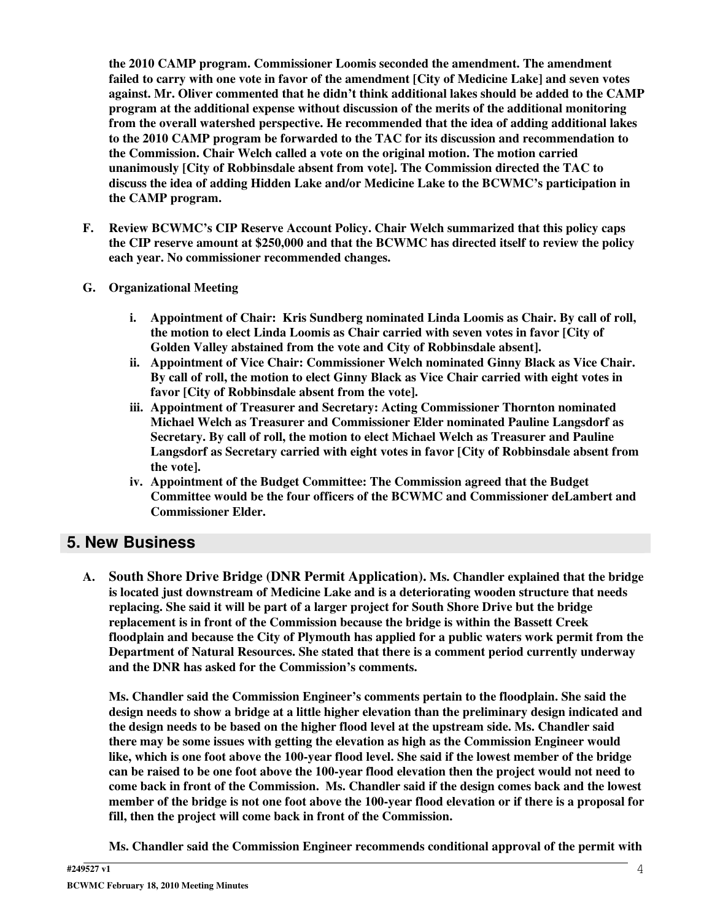**the 2010 CAMP program. Commissioner Loomis seconded the amendment. The amendment failed to carry with one vote in favor of the amendment [City of Medicine Lake] and seven votes against. Mr. Oliver commented that he didn't think additional lakes should be added to the CAMP program at the additional expense without discussion of the merits of the additional monitoring from the overall watershed perspective. He recommended that the idea of adding additional lakes to the 2010 CAMP program be forwarded to the TAC for its discussion and recommendation to the Commission. Chair Welch called a vote on the original motion. The motion carried unanimously [City of Robbinsdale absent from vote]. The Commission directed the TAC to discuss the idea of adding Hidden Lake and/or Medicine Lake to the BCWMC's participation in the CAMP program.**

- **F. Review BCWMC's CIP Reserve Account Policy. Chair Welch summarized that this policy caps the CIP reserve amount at \$250,000 and that the BCWMC has directed itself to review the policy each year. No commissioner recommended changes.**
- **G. Organizational Meeting**
	- **i. Appointment of Chair: Kris Sundberg nominated Linda Loomis as Chair. By call of roll, the motion to elect Linda Loomis as Chair carried with seven votes in favor [City of Golden Valley abstained from the vote and City of Robbinsdale absent].**
	- **ii. Appointment of Vice Chair: Commissioner Welch nominated Ginny Black as Vice Chair. By call of roll, the motion to elect Ginny Black as Vice Chair carried with eight votes in favor [City of Robbinsdale absent from the vote].**
	- **iii. Appointment of Treasurer and Secretary: Acting Commissioner Thornton nominated Michael Welch as Treasurer and Commissioner Elder nominated Pauline Langsdorf as Secretary. By call of roll, the motion to elect Michael Welch as Treasurer and Pauline Langsdorf as Secretary carried with eight votes in favor [City of Robbinsdale absent from the vote].**
	- **iv. Appointment of the Budget Committee: The Commission agreed that the Budget Committee would be the four officers of the BCWMC and Commissioner deLambert and Commissioner Elder.**

## **5. New Business**

**A. South Shore Drive Bridge (DNR Permit Application). Ms. Chandler explained that the bridge is located just downstream of Medicine Lake and is a deteriorating wooden structure that needs replacing. She said it will be part of a larger project for South Shore Drive but the bridge replacement is in front of the Commission because the bridge is within the Bassett Creek floodplain and because the City of Plymouth has applied for a public waters work permit from the Department of Natural Resources. She stated that there is a comment period currently underway and the DNR has asked for the Commission's comments.**

**Ms. Chandler said the Commission Engineer's comments pertain to the floodplain. She said the design needs to show a bridge at a little higher elevation than the preliminary design indicated and the design needs to be based on the higher flood level at the upstream side. Ms. Chandler said there may be some issues with getting the elevation as high as the Commission Engineer would** like, which is one foot above the 100-year flood level. She said if the lowest member of the bridge can be raised to be one foot above the 100-year flood elevation then the project would not need to **come back in front of the Commission. Ms. Chandler said if the design comes back and the lowest** member of the bridge is not one foot above the 100-year flood elevation or if there is a proposal for **fill, then the project will come back in front of the Commission.**

**Ms. Chandler said the Commission Engineer recommends conditional approval of the permit with**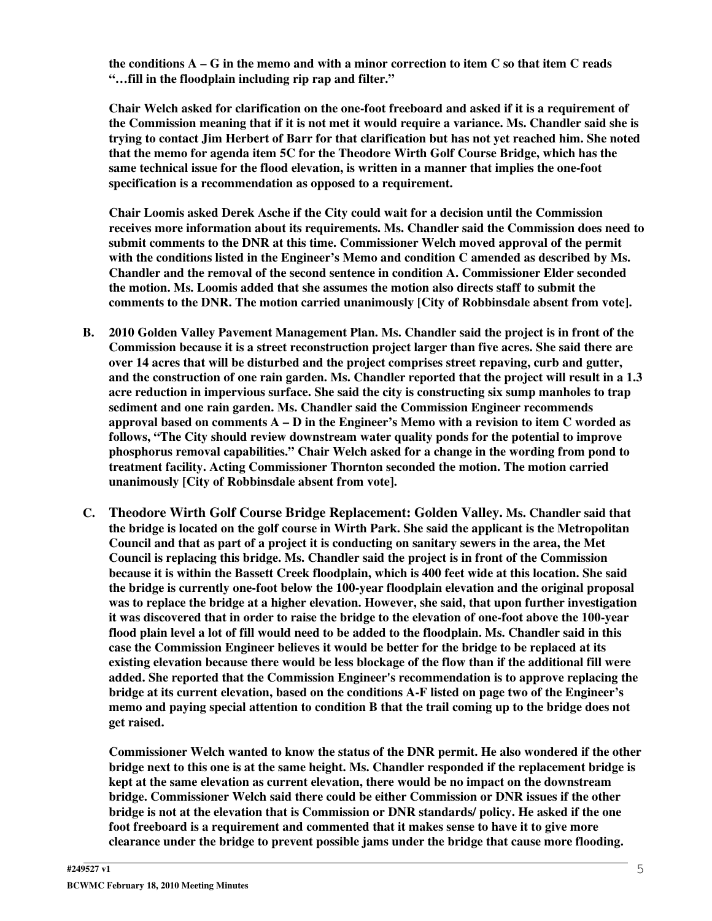the conditions  $A - G$  in the memo and with a minor correction to item  $C$  so that item  $C$  reads **"…fill in the floodplain including rip rap and filter."**

**Chair Welch asked for clarification on the one-foot freeboard and asked if it is a requirement of** the Commission meaning that if it is not met it would require a variance. Ms. Chandler said she is trying to contact Jim Herbert of Barr for that clarification but has not yet reached him. She noted **that the memo for agenda item 5C for the Theodore Wirth Golf Course Bridge, which has the same technical issue for the flood elevation, is written in a manner that implies the one-foot specification is a recommendation as opposed to a requirement.**

**Chair Loomis asked Derek Asche if the City could wait for a decision until the Commission receives more information about its requirements. Ms. Chandler said the Commission does need to submit comments to the DNR at this time. Commissioner Welch moved approval of the permit with the conditions listed in the Engineer's Memo and condition C amended as described by Ms. Chandler and the removal of the second sentence in condition A. Commissioner Elder seconded the motion. Ms. Loomis added that she assumes the motion also directs staff to submit the comments to the DNR. The motion carried unanimously [City of Robbinsdale absent from vote].**

- **B. 2010 Golden Valley Pavement Management Plan. Ms. Chandler said the project is in front of the Commission because it is a street reconstruction project larger than five acres. She said there are over 14 acres that will be disturbed and the project comprises street repaving, curb and gutter,** and the construction of one rain garden. Ms. Chandler reported that the project will result in a 1.3 **acre reduction in impervious surface. She said the city is constructing six sump manholes to trap sediment and one rain garden. Ms. Chandler said the Commission Engineer recommends approval based on comments A – D in the Engineer's Memo with a revision to item C worded as follows, "The City should review downstream water quality ponds for the potential to improve phosphorus removal capabilities." Chair Welch asked for a change in the wording from pond to treatment facility. Acting Commissioner Thornton seconded the motion. The motion carried unanimously [City of Robbinsdale absent from vote].**
- **C. Theodore Wirth Golf Course Bridge Replacement: Golden Valley. Ms. Chandler said that the bridge is located on the golf course in Wirth Park. She said the applicant is the Metropolitan** Council and that as part of a project it is conducting on sanitary sewers in the area, the Met **Council is replacing this bridge. Ms. Chandler said the project is in front of the Commission** because it is within the Bassett Creek floodplain, which is 400 feet wide at this location. She said **the bridge is currently one-foot below the 100-year floodplain elevation and the original proposal was to replace the bridge at a higher elevation. However, she said, that upon further investigation** it was discovered that in order to raise the bridge to the elevation of one-foot above the 100-year flood plain level a lot of fill would need to be added to the floodplain. Ms. Chandler said in this **case the Commission Engineer believes it would be better for the bridge to be replaced at its existing elevation because there would be less blockage of the flow than if the additional fill were added. She reported that the Commission Engineer's recommendation is to approve replacing the bridge at its current elevation, based on the conditions A-F listed on page two of the Engineer's memo and paying special attention to condition B that the trail coming up to the bridge does not get raised.**

**Commissioner Welch wanted to know the status of the DNR permit. He also wondered if the other bridge next to this one is at the same height. Ms. Chandler responded if the replacement bridge is kept at the same elevation as current elevation, there would be no impact on the downstream bridge. Commissioner Welch said there could be either Commission or DNR issues if the other bridge is not at the elevation that is Commission or DNR standards/ policy. He asked if the one foot freeboard is a requirement and commented that it makes sense to have it to give more clearance under the bridge to prevent possible jams under the bridge that cause more flooding.**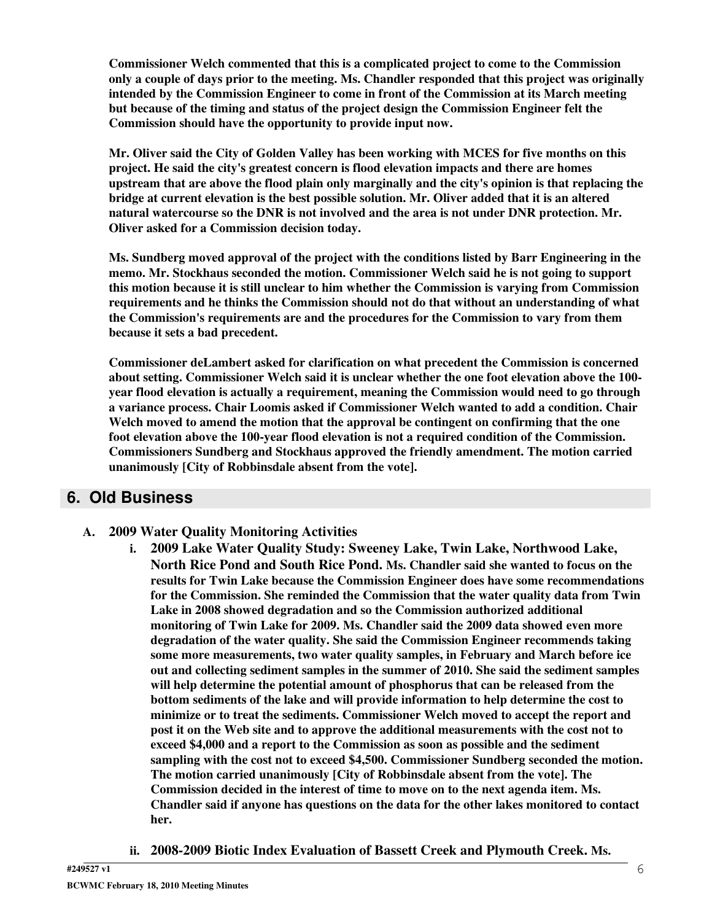**Commissioner Welch commented that this is a complicated project to come to the Commission only a couple of days prior to the meeting. Ms. Chandler responded that this project was originally intended by the Commission Engineer to come in front of the Commission at its March meeting but because of the timing and status of the project design the Commission Engineer felt the Commission should have the opportunity to provide input now.**

**Mr. Oliver said the City of Golden Valley has been working with MCES for five months on this project. He said the city's greatest concern is flood elevation impacts and there are homes upstream that are above the flood plain only marginally and the city's opinion is that replacing the bridge at current elevation is the best possible solution. Mr. Oliver added that it is an altered natural watercourse so the DNR is not involved and the area is not under DNR protection. Mr. Oliver asked for a Commission decision today.**

**Ms. Sundberg moved approval of the project with the conditions listed by Barr Engineering in the memo. Mr. Stockhaus seconded the motion. Commissioner Welch said he is not going to support this motion because it is still unclear to him whether the Commission is varying from Commission requirements and he thinks the Commission should not do that without an understanding of what the Commission's requirements are and the procedures for the Commission to vary from them because it sets a bad precedent.**

**Commissioner deLambert asked for clarification on what precedent the Commission is concerned about setting. Commissioner Welch said it is unclear whether the one foot elevation above the 100 year flood elevation is actually a requirement, meaning the Commission would need to go through a variance process. Chair Loomis asked if Commissioner Welch wanted to add a condition. Chair Welch moved to amend the motion that the approval be contingent on confirming that the one foot elevation above the 100-year flood elevation is not a required condition of the Commission. Commissioners Sundberg and Stockhaus approved the friendly amendment. The motion carried unanimously [City of Robbinsdale absent from the vote].**

### **6. Old Business**

- **A. 2009 Water Quality Monitoring Activities**
	- **i. 2009 Lake Water Quality Study: Sweeney Lake, Twin Lake, Northwood Lake, North Rice Pond and South Rice Pond. Ms. Chandler said she wanted to focus on the results for Twin Lake because the Commission Engineer does have some recommendations for the Commission. She reminded the Commission that the water quality data from Twin Lake in 2008 showed degradation and so the Commission authorized additional monitoring of Twin Lake for 2009. Ms. Chandler said the 2009 data showed even more degradation of the water quality. She said the Commission Engineer recommends taking some more measurements, two water quality samples, in February and March before ice out and collecting sediment samples in the summer of 2010. She said the sediment samples will help determine the potential amount of phosphorus that can be released from the bottom sediments of the lake and will provide information to help determine the cost to minimize or to treat the sediments. Commissioner Welch moved to accept the report and post it on the Web site and to approve the additional measurements with the cost not to exceed \$4,000 and a report to the Commission as soon as possible and the sediment sampling with the cost not to exceed \$4,500. Commissioner Sundberg seconded the motion. The motion carried unanimously [City of Robbinsdale absent from the vote]. The Commission decided in the interest of time to move on to the next agenda item. Ms. Chandler said if anyone has questions on the data for the other lakes monitored to contact her.**
	- **ii. 2008-2009 Biotic Index Evaluation of Bassett Creek and Plymouth Creek. Ms.**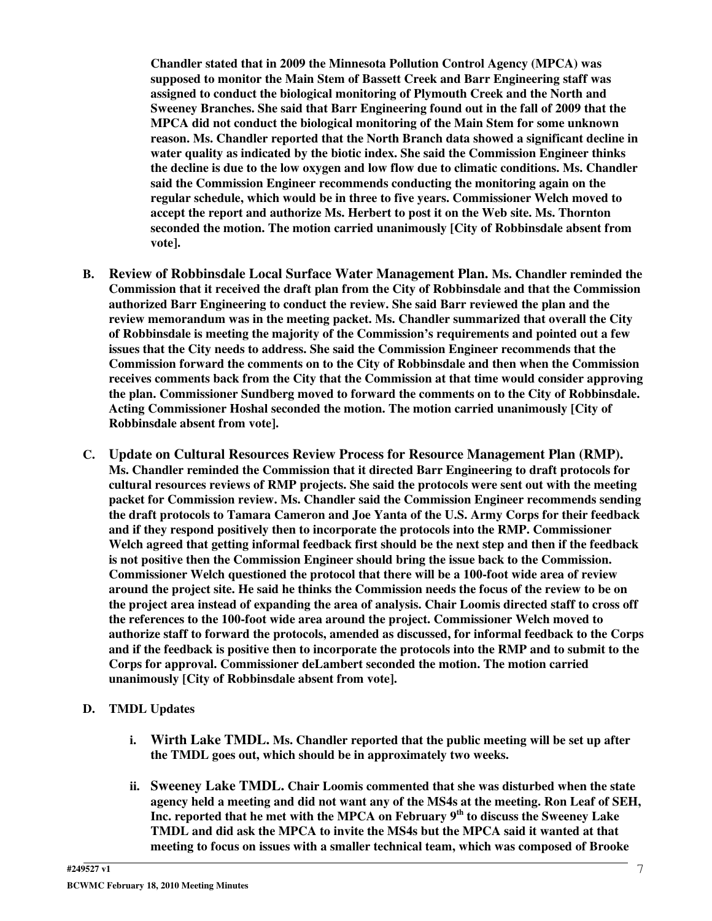**Chandler stated that in 2009 the Minnesota Pollution Control Agency (MPCA) was supposed to monitor the Main Stem of Bassett Creek and Barr Engineering staff was assigned to conduct the biological monitoring of Plymouth Creek and the North and Sweeney Branches. She said that Barr Engineering found out in the fall of 2009 that the MPCA did not conduct the biological monitoring of the Main Stem for some unknown reason. Ms. Chandler reported that the North Branch data showed a significant decline in water quality as indicated by the biotic index. She said the Commission Engineer thinks the decline is due to the low oxygen and low flow due to climatic conditions. Ms. Chandler said the Commission Engineer recommends conducting the monitoring again on the regular schedule, which would be in three to five years. Commissioner Welch moved to accept the report and authorize Ms. Herbert to post it on the Web site. Ms. Thornton seconded the motion. The motion carried unanimously [City of Robbinsdale absent from vote].**

- **B. Review of Robbinsdale Local Surface Water Management Plan. Ms. Chandler reminded the Commission that it received the draft plan from the City of Robbinsdale and that the Commission authorized Barr Engineering to conduct the review. She said Barr reviewed the plan and the review memorandum was in the meeting packet. Ms. Chandler summarized that overall the City of Robbinsdale is meeting the majority of the Commission's requirements and pointed out a few issues that the City needs to address. She said the Commission Engineer recommends that the Commission forward the comments on to the City of Robbinsdale and then when the Commission receives comments back from the City that the Commission at that time would consider approving the plan. Commissioner Sundberg moved to forward the comments on to the City of Robbinsdale. Acting Commissioner Hoshal seconded the motion. The motion carried unanimously [City of Robbinsdale absent from vote].**
- **C. Update on Cultural Resources Review Process for Resource Management Plan (RMP). Ms. Chandler reminded the Commission that it directed Barr Engineering to draft protocols for cultural resources reviews of RMP projects. She said the protocols were sent out with the meeting packet for Commission review. Ms. Chandler said the Commission Engineer recommends sending the draft protocols to Tamara Cameron and Joe Yanta of the U.S. Army Corps for their feedback and if they respond positively then to incorporate the protocols into the RMP. Commissioner Welch agreed that getting informal feedback first should be the next step and then if the feedback is not positive then the Commission Engineer should bring the issue back to the Commission. Commissioner Welch questioned the protocol that there will be a 100-foot wide area of review** around the project site. He said he thinks the Commission needs the focus of the review to be on **the project area instead of expanding the area of analysis. Chair Loomis directed staff to cross off the references to the 100-foot wide area around the project. Commissioner Welch moved to authorize staff to forward the protocols, amended as discussed, for informal feedback to the Corps** and if the feedback is positive then to incorporate the protocols into the RMP and to submit to the **Corps for approval. Commissioner deLambert seconded the motion. The motion carried unanimously [City of Robbinsdale absent from vote].**
- **D. TMDL Updates**
	- **i. Wirth Lake TMDL. Ms. Chandler reported that the public meeting will be set up after the TMDL goes out, which should be in approximately two weeks.**
	- **ii. Sweeney Lake TMDL. Chair Loomis commented that she was disturbed when the state agency held a meeting and did not want any of the MS4s at the meeting. Ron Leaf of SEH, Inc. reported that he met with the MPCA on February 9 th to discuss the Sweeney Lake TMDL and did ask the MPCA to invite the MS4s but the MPCA said it wanted at that meeting to focus on issues with a smaller technical team, which was composed of Brooke**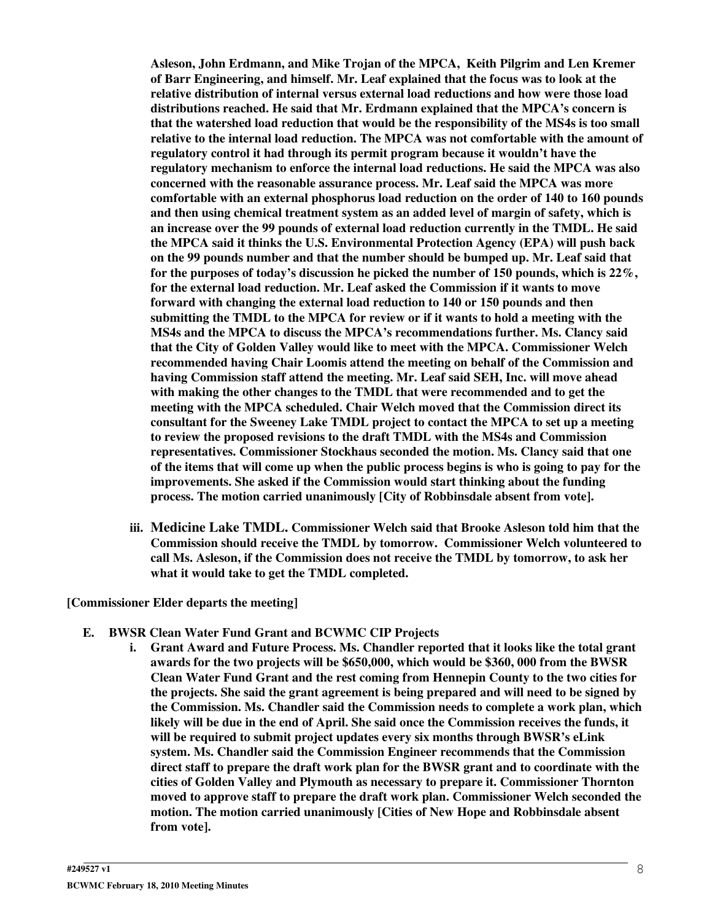**Asleson, John Erdmann, and Mike Trojan of the MPCA, Keith Pilgrim and Len Kremer of Barr Engineering, and himself. Mr. Leaf explained that the focus was to look at the relative distribution of internal versus external load reductions and how were those load distributions reached. He said that Mr. Erdmann explained that the MPCA's concern is that the watershed load reduction that would be the responsibility of the MS4s is too small relative to the internal load reduction. The MPCA was not comfortable with the amount of regulatory control it had through its permit program because it wouldn't have the regulatory mechanism to enforce the internal load reductions. He said the MPCA was also concerned with the reasonable assurance process. Mr. Leaf said the MPCA was more comfortable with an external phosphorus load reduction on the order of 140 to 160 pounds and then using chemical treatment system as an added level of margin of safety, which is an increase over the 99 pounds of external load reduction currently in the TMDL. He said the MPCA said it thinks the U.S. Environmental Protection Agency (EPA) will push back on the 99 pounds number and that the number should be bumped up. Mr. Leaf said that for the purposes of today's discussion he picked the number of 150 pounds, which is 22%, for the external load reduction. Mr. Leaf asked the Commission if it wants to move forward with changing the external load reduction to 140 or 150 pounds and then submitting the TMDL to the MPCA for review or if it wants to hold a meeting with the MS4s and the MPCA to discuss the MPCA's recommendations further. Ms. Clancy said that the City of Golden Valley would like to meet with the MPCA. Commissioner Welch recommended having Chair Loomis attend the meeting on behalf of the Commission and having Commission staff attend the meeting. Mr. Leaf said SEH, Inc. will move ahead with making the other changes to the TMDL that were recommended and to get the meeting with the MPCA scheduled. Chair Welch moved that the Commission direct its consultant for the Sweeney Lake TMDL project to contact the MPCA to set up a meeting to review the proposed revisions to the draft TMDL with the MS4s and Commission representatives. Commissioner Stockhaus seconded the motion. Ms. Clancy said that one** of the items that will come up when the public process begins is who is going to pay for the **improvements. She asked if the Commission would start thinking about the funding process. The motion carried unanimously [City of Robbinsdale absent from vote].**

**iii. Medicine Lake TMDL. Commissioner Welch said that Brooke Asleson told him that the Commission should receive the TMDL by tomorrow. Commissioner Welch volunteered to call Ms. Asleson, if the Commission does not receive the TMDL by tomorrow, to ask her what it would take to get the TMDL completed.**

#### **[Commissioner Elder departs the meeting]**

- **E. BWSR Clean Water Fund Grant and BCWMC CIP Projects**
	- **i. Grant Award and Future Process. Ms. Chandler reported that it looks like the total grant awards for the two projects will be \$650,000, which would be \$360, 000 from the BWSR Clean Water Fund Grant and the rest coming from Hennepin County to the two cities for the projects. She said the grant agreement is being prepared and will need to be signed by the Commission. Ms. Chandler said the Commission needs to complete a work plan, which likely will be due in the end of April. She said once the Commission receives the funds, it will be required to submit project updates every six months through BWSR's eLink system. Ms. Chandler said the Commission Engineer recommends that the Commission direct staff to prepare the draft work plan for the BWSR grant and to coordinate with the cities of Golden Valley and Plymouth as necessary to prepare it. Commissioner Thornton moved to approve staff to prepare the draft work plan. Commissioner Welch seconded the motion. The motion carried unanimously [Cities of New Hope and Robbinsdale absent from vote].**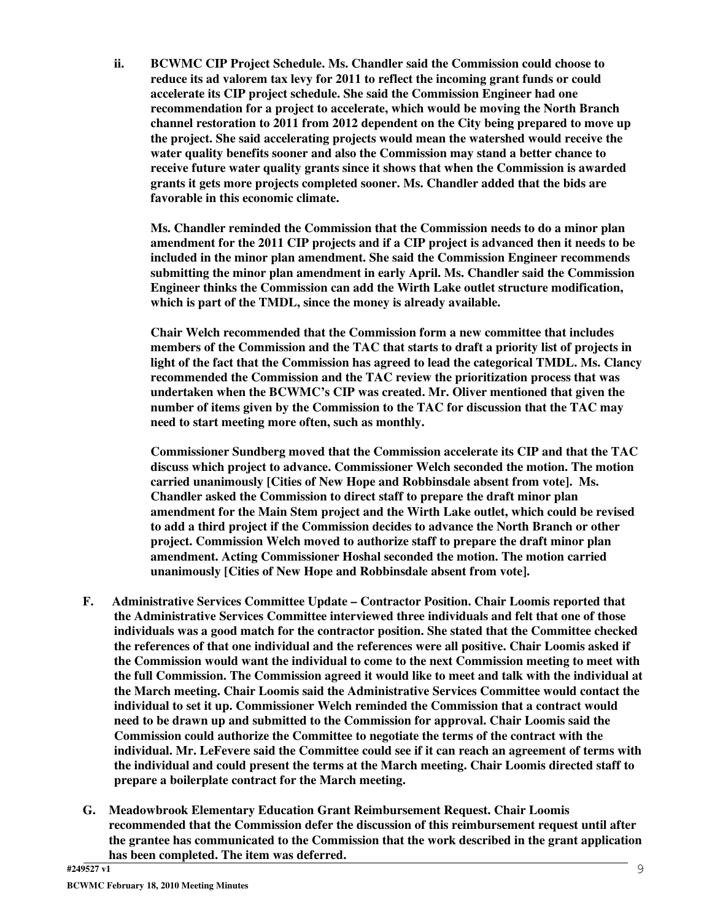**ii. BCWMC CIP Project Schedule. Ms. Chandler said the Commission could choose to reduce its ad valorem tax levy for 2011 to reflect the incoming grant funds or could accelerate its CIP project schedule. She said the Commission Engineer had one recommendation for a project to accelerate, which would be moving the North Branch channel restoration to 2011 from 2012 dependent on the City being prepared to move up the project. She said accelerating projects would mean the watershed would receive the water quality benefits sooner and also the Commission may stand a better chance to receive future water quality grants since it shows that when the Commission is awarded grants it gets more projects completed sooner. Ms. Chandler added that the bids are favorable in this economic climate.**

**Ms. Chandler reminded the Commission that the Commission needs to do a minor plan amendment for the 2011 CIP projects and if a CIP project is advanced then it needs to be included in the minor plan amendment. She said the Commission Engineer recommends submitting the minor plan amendment in early April. Ms. Chandler said the Commission Engineer thinks the Commission can add the Wirth Lake outlet structure modification, which is part of the TMDL, since the money is already available.**

**Chair Welch recommended that the Commission form a new committee that includes members of the Commission and the TAC that starts to draft a priority list of projects in light of the fact that the Commission has agreed to lead the categorical TMDL. Ms. Clancy recommended the Commission and the TAC review the prioritization process that was undertaken when the BCWMC's CIP was created. Mr. Oliver mentioned that given the number of items given by the Commission to the TAC for discussion that the TAC may need to start meeting more often, such as monthly.**

**Commissioner Sundberg moved that the Commission accelerate its CIP and that the TAC discuss which project to advance. Commissioner Welch seconded the motion. The motion carried unanimously [Cities of New Hope and Robbinsdale absent from vote]. Ms. Chandler asked the Commission to direct staff to prepare the draft minor plan amendment for the Main Stem project and the Wirth Lake outlet, which could be revised to add a third project if the Commission decides to advance the North Branch or other project. Commission Welch moved to authorize staff to prepare the draft minor plan amendment. Acting Commissioner Hoshal seconded the motion. The motion carried unanimously [Cities of New Hope and Robbinsdale absent from vote].**

- **F. Administrative Services Committee Update – Contractor Position. Chair Loomis reported that the Administrative Services Committee interviewed three individuals and felt that one of those individuals was a good match for the contractor position. She stated that the Committee checked the references of that one individual and the references were all positive. Chair Loomis asked if the Commission would want the individual to come to the next Commission meeting to meet with the full Commission. The Commission agreed it would like to meet and talk with the individual at the March meeting. Chair Loomis said the Administrative Services Committee would contact the individual to set it up. Commissioner Welch reminded the Commission that a contract would need to be drawn up and submitted to the Commission for approval. Chair Loomis said the Commission could authorize the Committee to negotiate the terms of the contract with the individual. Mr. LeFevere said the Committee could see if it can reach an agreement of terms with the individual and could present the terms at the March meeting. Chair Loomis directed staff to prepare a boilerplate contract for the March meeting.**
- **G. Meadowbrook Elementary Education Grant Reimbursement Request. Chair Loomis recommended that the Commission defer the discussion of this reimbursement request until after the grantee has communicated to the Commission that the work described in the grant application has been completed. The item was deferred.**